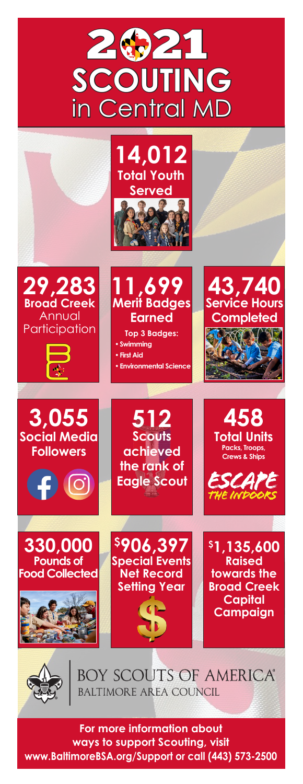



**For more information about ways to support Scouting, visit www.BaltimoreBSA.org/Support or call (443) 573-2500**